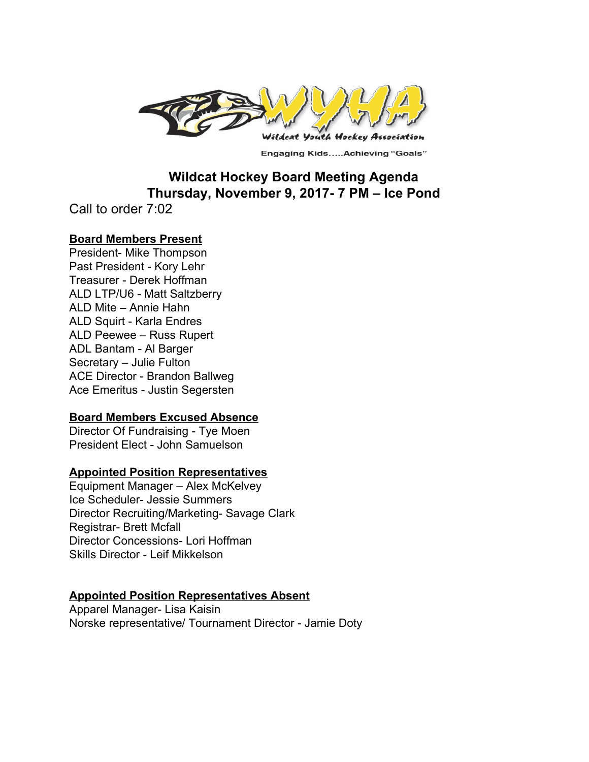

**Engaging Kids.....Achieving "Goals"** 

# **Wildcat Hockey Board Meeting Agenda Thursday, November 9, 2017- 7 PM – Ice Pond**

Call to order 7:02

## **Board Members Present**

President- Mike Thompson Past President - Kory Lehr Treasurer - Derek Hoffman ALD LTP/U6 - Matt Saltzberry ALD Mite – Annie Hahn ALD Squirt - Karla Endres ALD Peewee – Russ Rupert ADL Bantam - Al Barger Secretary – Julie Fulton ACE Director - Brandon Ballweg Ace Emeritus - Justin Segersten

# **Board Members Excused Absence**

Director Of Fundraising - Tye Moen President Elect - John Samuelson

### **Appointed Position Representatives**

Equipment Manager – Alex McKelvey Ice Scheduler- Jessie Summers Director Recruiting/Marketing- Savage Clark Registrar- Brett Mcfall Director Concessions- Lori Hoffman Skills Director - Leif Mikkelson

## **Appointed Position Representatives Absent**

Apparel Manager- Lisa Kaisin Norske representative/ Tournament Director - Jamie Doty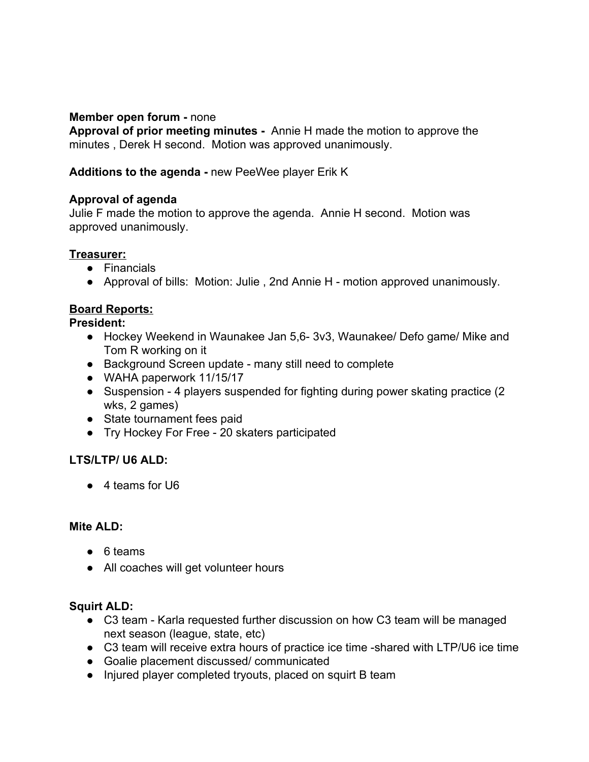## **Member open forum -** none

**Approval of prior meeting minutes -**  Annie H made the motion to approve the minutes , Derek H second. Motion was approved unanimously.

**Additions to the agenda -** new PeeWee player Erik K

## **Approval of agenda**

Julie F made the motion to approve the agenda. Annie H second. Motion was approved unanimously.

### **Treasurer:**

- Financials
- Approval of bills: Motion: Julie , 2nd Annie H motion approved unanimously.

## **Board Reports:**

**President:**

- Hockey Weekend in Waunakee Jan 5,6- 3v3, Waunakee/ Defo game/ Mike and Tom R working on it
- Background Screen update many still need to complete
- WAHA paperwork 11/15/17
- Suspension 4 players suspended for fighting during power skating practice (2 wks, 2 games)
- State tournament fees paid
- Try Hockey For Free 20 skaters participated

# **LTS/LTP/ U6 ALD:**

● 4 teams for U6

### **Mite ALD:**

- 6 teams
- All coaches will get volunteer hours

### **Squirt ALD:**

- C3 team Karla requested further discussion on how C3 team will be managed next season (league, state, etc)
- C3 team will receive extra hours of practice ice time -shared with LTP/U6 ice time
- Goalie placement discussed/ communicated
- Injured player completed tryouts, placed on squirt B team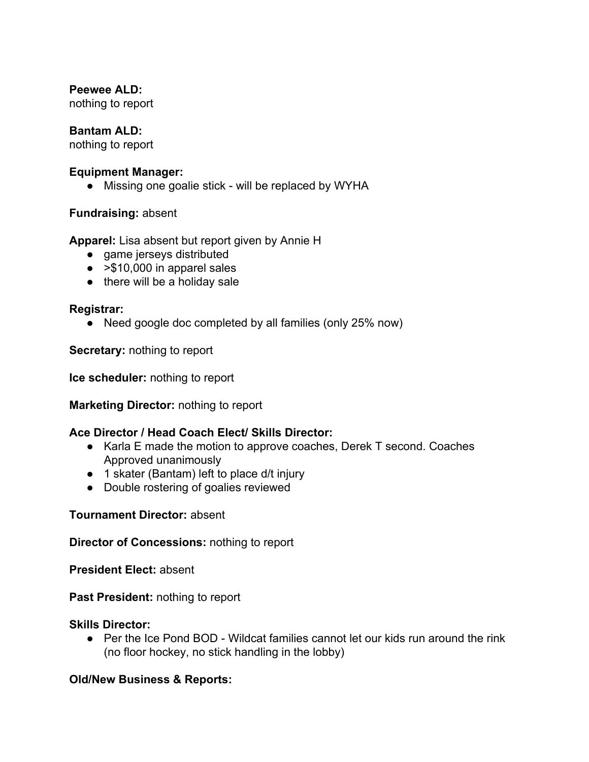## **Peewee ALD:**

nothing to report

## **Bantam ALD:**

nothing to report

### **Equipment Manager:**

• Missing one goalie stick - will be replaced by WYHA

## **Fundraising:** absent

**Apparel:** Lisa absent but report given by Annie H

- **●** game jerseys distributed
- $\bullet$  > \$10,000 in apparel sales
- $\bullet$  there will be a holiday sale

## **Registrar:**

● Need google doc completed by all families (only 25% now)

**Secretary:** nothing to report

**Ice scheduler:** nothing to report

**Marketing Director:** nothing to report

### **Ace Director / Head Coach Elect/ Skills Director:**

- Karla E made the motion to approve coaches, Derek T second. Coaches Approved unanimously
- 1 skater (Bantam) left to place d/t injury
- Double rostering of goalies reviewed

### **Tournament Director:** absent

**Director of Concessions:** nothing to report

**President Elect:** absent

**Past President:** nothing to report

### **Skills Director:**

● Per the Ice Pond BOD - Wildcat families cannot let our kids run around the rink (no floor hockey, no stick handling in the lobby)

# **Old/New Business & Reports:**